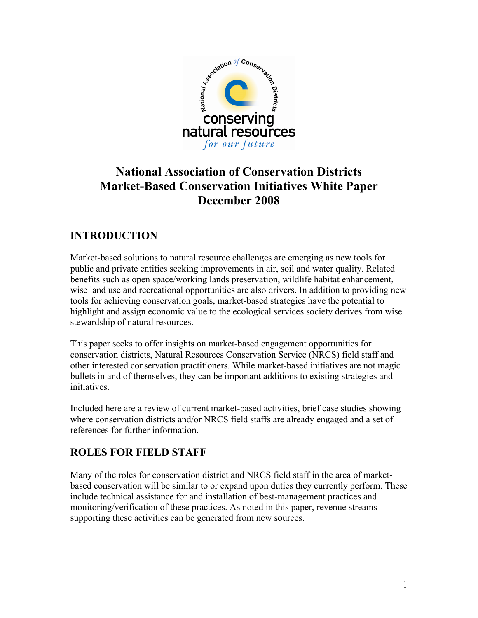

# **National Association of Conservation Districts Market-Based Conservation Initiatives White Paper December 2008**

# **INTRODUCTION**

Market-based solutions to natural resource challenges are emerging as new tools for public and private entities seeking improvements in air, soil and water quality. Related benefits such as open space/working lands preservation, wildlife habitat enhancement, wise land use and recreational opportunities are also drivers. In addition to providing new tools for achieving conservation goals, market-based strategies have the potential to highlight and assign economic value to the ecological services society derives from wise stewardship of natural resources.

This paper seeks to offer insights on market-based engagement opportunities for conservation districts, Natural Resources Conservation Service (NRCS) field staff and other interested conservation practitioners. While market-based initiatives are not magic bullets in and of themselves, they can be important additions to existing strategies and initiatives.

Included here are a review of current market-based activities, brief case studies showing where conservation districts and/or NRCS field staffs are already engaged and a set of references for further information.

### **ROLES FOR FIELD STAFF**

Many of the roles for conservation district and NRCS field staff in the area of marketbased conservation will be similar to or expand upon duties they currently perform. These include technical assistance for and installation of best-management practices and monitoring/verification of these practices. As noted in this paper, revenue streams supporting these activities can be generated from new sources.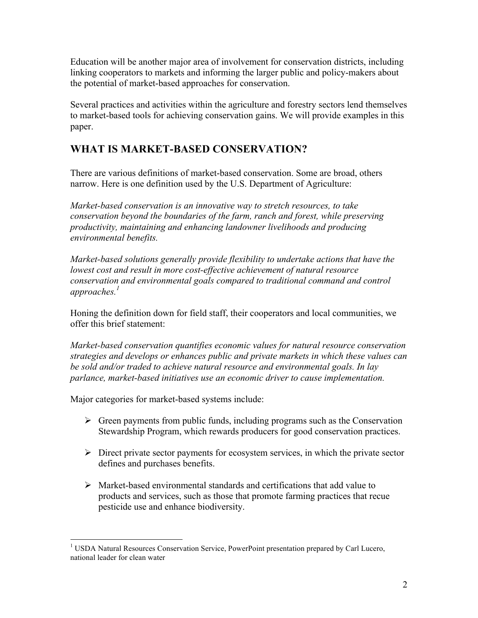Education will be another major area of involvement for conservation districts, including linking cooperators to markets and informing the larger public and policy-makers about the potential of market-based approaches for conservation.

Several practices and activities within the agriculture and forestry sectors lend themselves to market-based tools for achieving conservation gains. We will provide examples in this paper.

# **WHAT IS MARKET-BASED CONSERVATION?**

There are various definitions of market-based conservation. Some are broad, others narrow. Here is one definition used by the U.S. Department of Agriculture:

*Market-based conservation is an innovative way to stretch resources, to take conservation beyond the boundaries of the farm, ranch and forest, while preserving productivity, maintaining and enhancing landowner livelihoods and producing environmental benefits.*

*Market-based solutions generally provide flexibility to undertake actions that have the lowest cost and result in more cost-effective achievement of natural resource conservation and environmental goals compared to traditional command and control approaches.<sup>1</sup>*

Honing the definition down for field staff, their cooperators and local communities, we offer this brief statement:

*Market-based conservation quantifies economic values for natural resource conservation strategies and develops or enhances public and private markets in which these values can be sold and/or traded to achieve natural resource and environmental goals. In lay parlance, market-based initiatives use an economic driver to cause implementation.*

Major categories for market-based systems include:

- $\triangleright$  Green payments from public funds, including programs such as the Conservation Stewardship Program, which rewards producers for good conservation practices.
- $\triangleright$  Direct private sector payments for ecosystem services, in which the private sector defines and purchases benefits.
- $\triangleright$  Market-based environmental standards and certifications that add value to products and services, such as those that promote farming practices that recue pesticide use and enhance biodiversity.

 $\frac{1}{1}$ <sup>1</sup> USDA Natural Resources Conservation Service, PowerPoint presentation prepared by Carl Lucero, national leader for clean water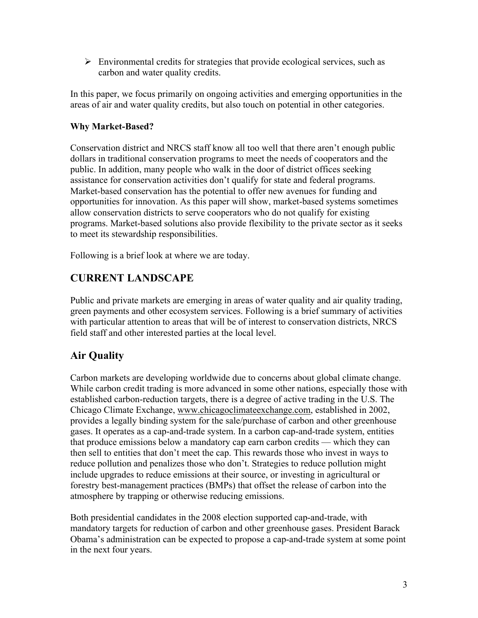$\triangleright$  Environmental credits for strategies that provide ecological services, such as carbon and water quality credits.

In this paper, we focus primarily on ongoing activities and emerging opportunities in the areas of air and water quality credits, but also touch on potential in other categories.

### **Why Market-Based?**

Conservation district and NRCS staff know all too well that there aren't enough public dollars in traditional conservation programs to meet the needs of cooperators and the public. In addition, many people who walk in the door of district offices seeking assistance for conservation activities don't qualify for state and federal programs. Market-based conservation has the potential to offer new avenues for funding and opportunities for innovation. As this paper will show, market-based systems sometimes allow conservation districts to serve cooperators who do not qualify for existing programs. Market-based solutions also provide flexibility to the private sector as it seeks to meet its stewardship responsibilities.

Following is a brief look at where we are today.

### **CURRENT LANDSCAPE**

Public and private markets are emerging in areas of water quality and air quality trading, green payments and other ecosystem services. Following is a brief summary of activities with particular attention to areas that will be of interest to conservation districts, NRCS field staff and other interested parties at the local level.

### **Air Quality**

Carbon markets are developing worldwide due to concerns about global climate change. While carbon credit trading is more advanced in some other nations, especially those with established carbon-reduction targets, there is a degree of active trading in the U.S. The Chicago Climate Exchange, www.chicagoclimateexchange.com, established in 2002, provides a legally binding system for the sale/purchase of carbon and other greenhouse gases. It operates as a cap-and-trade system. In a carbon cap-and-trade system, entities that produce emissions below a mandatory cap earn carbon credits — which they can then sell to entities that don't meet the cap. This rewards those who invest in ways to reduce pollution and penalizes those who don't. Strategies to reduce pollution might include upgrades to reduce emissions at their source, or investing in agricultural or forestry best-management practices (BMPs) that offset the release of carbon into the atmosphere by trapping or otherwise reducing emissions.

Both presidential candidates in the 2008 election supported cap-and-trade, with mandatory targets for reduction of carbon and other greenhouse gases. President Barack Obama's administration can be expected to propose a cap-and-trade system at some point in the next four years.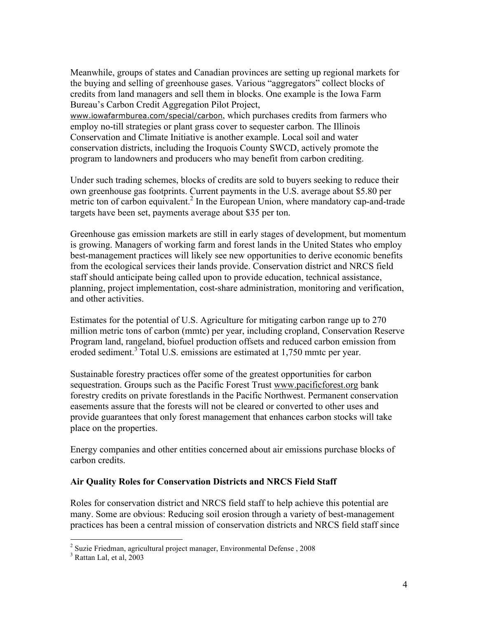Meanwhile, groups of states and Canadian provinces are setting up regional markets for the buying and selling of greenhouse gases. Various "aggregators" collect blocks of credits from land managers and sell them in blocks. One example is the Iowa Farm Bureau's Carbon Credit Aggregation Pilot Project,

www.iowafarmburea.com/special/carbon, which purchases credits from farmers who employ no-till strategies or plant grass cover to sequester carbon. The Illinois Conservation and Climate Initiative is another example. Local soil and water conservation districts, including the Iroquois County SWCD, actively promote the program to landowners and producers who may benefit from carbon crediting.

Under such trading schemes, blocks of credits are sold to buyers seeking to reduce their own greenhouse gas footprints. Current payments in the U.S. average about \$5.80 per metric ton of carbon equivalent.<sup>2</sup> In the European Union, where mandatory cap-and-trade targets have been set, payments average about \$35 per ton.

Greenhouse gas emission markets are still in early stages of development, but momentum is growing. Managers of working farm and forest lands in the United States who employ best-management practices will likely see new opportunities to derive economic benefits from the ecological services their lands provide. Conservation district and NRCS field staff should anticipate being called upon to provide education, technical assistance, planning, project implementation, cost-share administration, monitoring and verification, and other activities.

Estimates for the potential of U.S. Agriculture for mitigating carbon range up to 270 million metric tons of carbon (mmtc) per year, including cropland, Conservation Reserve Program land, rangeland, biofuel production offsets and reduced carbon emission from eroded sediment.<sup>3</sup> Total U.S. emissions are estimated at 1,750 mmtc per year.

Sustainable forestry practices offer some of the greatest opportunities for carbon sequestration. Groups such as the Pacific Forest Trust www.pacificforest.org bank forestry credits on private forestlands in the Pacific Northwest. Permanent conservation easements assure that the forests will not be cleared or converted to other uses and provide guarantees that only forest management that enhances carbon stocks will take place on the properties.

Energy companies and other entities concerned about air emissions purchase blocks of carbon credits.

### **Air Quality Roles for Conservation Districts and NRCS Field Staff**

Roles for conservation district and NRCS field staff to help achieve this potential are many. Some are obvious: Reducing soil erosion through a variety of best-management practices has been a central mission of conservation districts and NRCS field staff since

 $\frac{1}{2}$  $2$  Suzie Friedman, agricultural project manager, Environmental Defense, 2008

<sup>3</sup> Rattan Lal, et al, 2003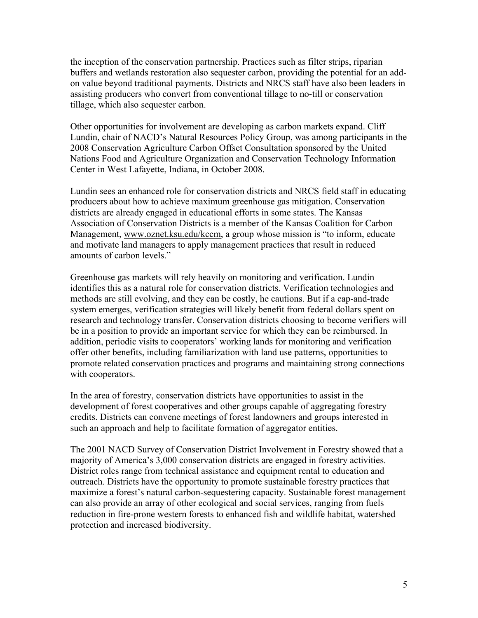the inception of the conservation partnership. Practices such as filter strips, riparian buffers and wetlands restoration also sequester carbon, providing the potential for an addon value beyond traditional payments. Districts and NRCS staff have also been leaders in assisting producers who convert from conventional tillage to no-till or conservation tillage, which also sequester carbon.

Other opportunities for involvement are developing as carbon markets expand. Cliff Lundin, chair of NACD's Natural Resources Policy Group, was among participants in the 2008 Conservation Agriculture Carbon Offset Consultation sponsored by the United Nations Food and Agriculture Organization and Conservation Technology Information Center in West Lafayette, Indiana, in October 2008.

Lundin sees an enhanced role for conservation districts and NRCS field staff in educating producers about how to achieve maximum greenhouse gas mitigation. Conservation districts are already engaged in educational efforts in some states. The Kansas Association of Conservation Districts is a member of the Kansas Coalition for Carbon Management, www.oznet.ksu.edu/kccm, a group whose mission is "to inform, educate and motivate land managers to apply management practices that result in reduced amounts of carbon levels."

Greenhouse gas markets will rely heavily on monitoring and verification. Lundin identifies this as a natural role for conservation districts. Verification technologies and methods are still evolving, and they can be costly, he cautions. But if a cap-and-trade system emerges, verification strategies will likely benefit from federal dollars spent on research and technology transfer. Conservation districts choosing to become verifiers will be in a position to provide an important service for which they can be reimbursed. In addition, periodic visits to cooperators' working lands for monitoring and verification offer other benefits, including familiarization with land use patterns, opportunities to promote related conservation practices and programs and maintaining strong connections with cooperators.

In the area of forestry, conservation districts have opportunities to assist in the development of forest cooperatives and other groups capable of aggregating forestry credits. Districts can convene meetings of forest landowners and groups interested in such an approach and help to facilitate formation of aggregator entities.

The 2001 NACD Survey of Conservation District Involvement in Forestry showed that a majority of America's 3,000 conservation districts are engaged in forestry activities. District roles range from technical assistance and equipment rental to education and outreach. Districts have the opportunity to promote sustainable forestry practices that maximize a forest's natural carbon-sequestering capacity. Sustainable forest management can also provide an array of other ecological and social services, ranging from fuels reduction in fire-prone western forests to enhanced fish and wildlife habitat, watershed protection and increased biodiversity.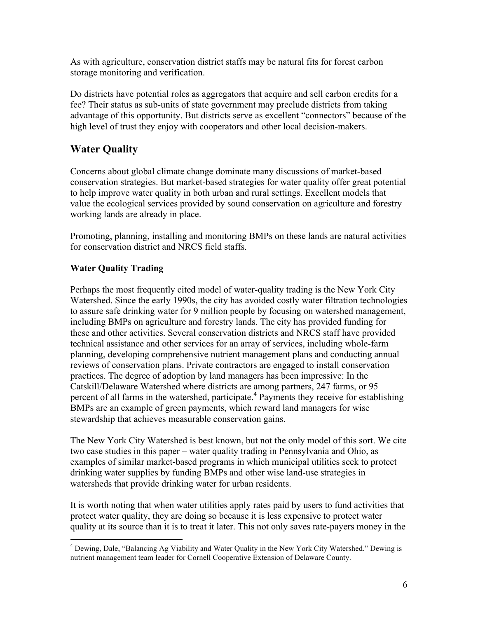As with agriculture, conservation district staffs may be natural fits for forest carbon storage monitoring and verification.

Do districts have potential roles as aggregators that acquire and sell carbon credits for a fee? Their status as sub-units of state government may preclude districts from taking advantage of this opportunity. But districts serve as excellent "connectors" because of the high level of trust they enjoy with cooperators and other local decision-makers.

# **Water Quality**

Concerns about global climate change dominate many discussions of market-based conservation strategies. But market-based strategies for water quality offer great potential to help improve water quality in both urban and rural settings. Excellent models that value the ecological services provided by sound conservation on agriculture and forestry working lands are already in place.

Promoting, planning, installing and monitoring BMPs on these lands are natural activities for conservation district and NRCS field staffs.

### **Water Quality Trading**

Perhaps the most frequently cited model of water-quality trading is the New York City Watershed. Since the early 1990s, the city has avoided costly water filtration technologies to assure safe drinking water for 9 million people by focusing on watershed management, including BMPs on agriculture and forestry lands. The city has provided funding for these and other activities. Several conservation districts and NRCS staff have provided technical assistance and other services for an array of services, including whole-farm planning, developing comprehensive nutrient management plans and conducting annual reviews of conservation plans. Private contractors are engaged to install conservation practices. The degree of adoption by land managers has been impressive: In the Catskill/Delaware Watershed where districts are among partners, 247 farms, or 95 percent of all farms in the watershed, participate.<sup>4</sup> Payments they receive for establishing BMPs are an example of green payments, which reward land managers for wise stewardship that achieves measurable conservation gains.

The New York City Watershed is best known, but not the only model of this sort. We cite two case studies in this paper – water quality trading in Pennsylvania and Ohio, as examples of similar market-based programs in which municipal utilities seek to protect drinking water supplies by funding BMPs and other wise land-use strategies in watersheds that provide drinking water for urban residents.

It is worth noting that when water utilities apply rates paid by users to fund activities that protect water quality, they are doing so because it is less expensive to protect water quality at its source than it is to treat it later. This not only saves rate-payers money in the

 $\frac{1}{4}$  Dewing, Dale, "Balancing Ag Viability and Water Quality in the New York City Watershed." Dewing is nutrient management team leader for Cornell Cooperative Extension of Delaware County.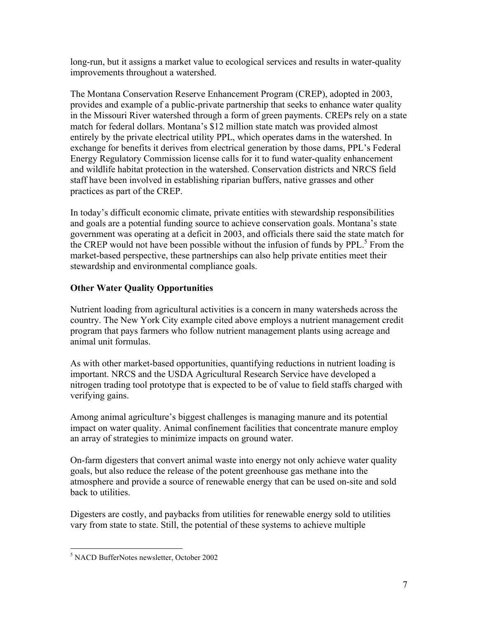long-run, but it assigns a market value to ecological services and results in water-quality improvements throughout a watershed.

The Montana Conservation Reserve Enhancement Program (CREP), adopted in 2003, provides and example of a public-private partnership that seeks to enhance water quality in the Missouri River watershed through a form of green payments. CREPs rely on a state match for federal dollars. Montana's \$12 million state match was provided almost entirely by the private electrical utility PPL, which operates dams in the watershed. In exchange for benefits it derives from electrical generation by those dams, PPL's Federal Energy Regulatory Commission license calls for it to fund water-quality enhancement and wildlife habitat protection in the watershed. Conservation districts and NRCS field staff have been involved in establishing riparian buffers, native grasses and other practices as part of the CREP.

In today's difficult economic climate, private entities with stewardship responsibilities and goals are a potential funding source to achieve conservation goals. Montana's state government was operating at a deficit in 2003, and officials there said the state match for the CREP would not have been possible without the infusion of funds by PPL.<sup>5</sup> From the market-based perspective, these partnerships can also help private entities meet their stewardship and environmental compliance goals.

### **Other Water Quality Opportunities**

Nutrient loading from agricultural activities is a concern in many watersheds across the country. The New York City example cited above employs a nutrient management credit program that pays farmers who follow nutrient management plants using acreage and animal unit formulas.

As with other market-based opportunities, quantifying reductions in nutrient loading is important. NRCS and the USDA Agricultural Research Service have developed a nitrogen trading tool prototype that is expected to be of value to field staffs charged with verifying gains.

Among animal agriculture's biggest challenges is managing manure and its potential impact on water quality. Animal confinement facilities that concentrate manure employ an array of strategies to minimize impacts on ground water.

On-farm digesters that convert animal waste into energy not only achieve water quality goals, but also reduce the release of the potent greenhouse gas methane into the atmosphere and provide a source of renewable energy that can be used on-site and sold back to utilities.

Digesters are costly, and paybacks from utilities for renewable energy sold to utilities vary from state to state. Still, the potential of these systems to achieve multiple

 <sup>5</sup> <sup>5</sup> NACD BufferNotes newsletter, October 2002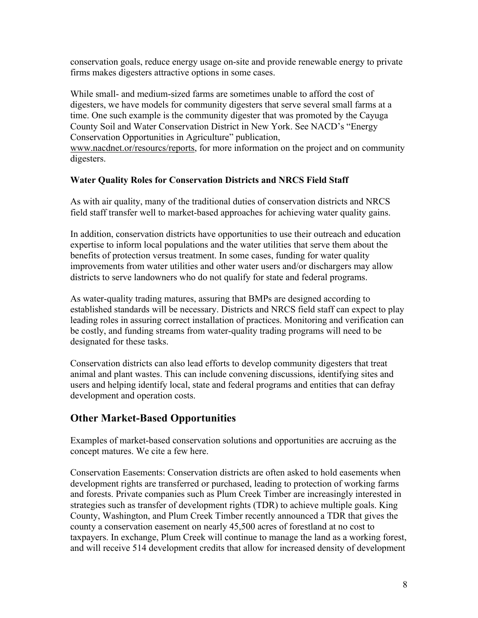conservation goals, reduce energy usage on-site and provide renewable energy to private firms makes digesters attractive options in some cases.

While small- and medium-sized farms are sometimes unable to afford the cost of digesters, we have models for community digesters that serve several small farms at a time. One such example is the community digester that was promoted by the Cayuga County Soil and Water Conservation District in New York. See NACD's "Energy Conservation Opportunities in Agriculture" publication,

www.nacdnet.or/resourcs/reports, for more information on the project and on community digesters.

### **Water Quality Roles for Conservation Districts and NRCS Field Staff**

As with air quality, many of the traditional duties of conservation districts and NRCS field staff transfer well to market-based approaches for achieving water quality gains.

In addition, conservation districts have opportunities to use their outreach and education expertise to inform local populations and the water utilities that serve them about the benefits of protection versus treatment. In some cases, funding for water quality improvements from water utilities and other water users and/or dischargers may allow districts to serve landowners who do not qualify for state and federal programs.

As water-quality trading matures, assuring that BMPs are designed according to established standards will be necessary. Districts and NRCS field staff can expect to play leading roles in assuring correct installation of practices. Monitoring and verification can be costly, and funding streams from water-quality trading programs will need to be designated for these tasks.

Conservation districts can also lead efforts to develop community digesters that treat animal and plant wastes. This can include convening discussions, identifying sites and users and helping identify local, state and federal programs and entities that can defray development and operation costs.

### **Other Market-Based Opportunities**

Examples of market-based conservation solutions and opportunities are accruing as the concept matures. We cite a few here.

Conservation Easements: Conservation districts are often asked to hold easements when development rights are transferred or purchased, leading to protection of working farms and forests. Private companies such as Plum Creek Timber are increasingly interested in strategies such as transfer of development rights (TDR) to achieve multiple goals. King County, Washington, and Plum Creek Timber recently announced a TDR that gives the county a conservation easement on nearly 45,500 acres of forestland at no cost to taxpayers. In exchange, Plum Creek will continue to manage the land as a working forest, and will receive 514 development credits that allow for increased density of development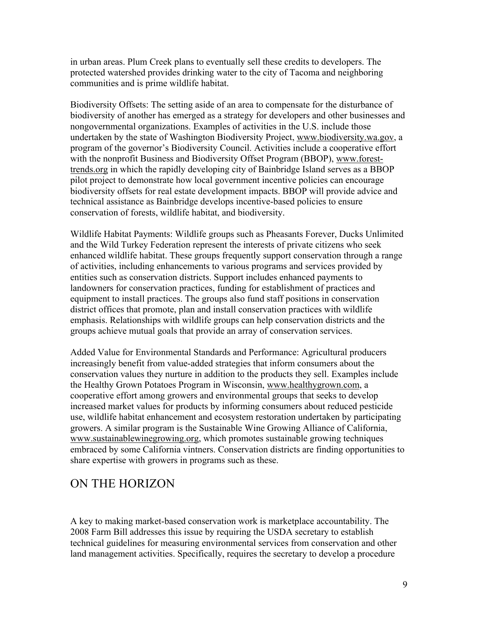in urban areas. Plum Creek plans to eventually sell these credits to developers. The protected watershed provides drinking water to the city of Tacoma and neighboring communities and is prime wildlife habitat.

Biodiversity Offsets: The setting aside of an area to compensate for the disturbance of biodiversity of another has emerged as a strategy for developers and other businesses and nongovernmental organizations. Examples of activities in the U.S. include those undertaken by the state of Washington Biodiversity Project, www.biodiversity.wa.gov, a program of the governor's Biodiversity Council. Activities include a cooperative effort with the nonprofit Business and Biodiversity Offset Program (BBOP), www.foresttrends.org in which the rapidly developing city of Bainbridge Island serves as a BBOP pilot project to demonstrate how local government incentive policies can encourage biodiversity offsets for real estate development impacts. BBOP will provide advice and technical assistance as Bainbridge develops incentive-based policies to ensure conservation of forests, wildlife habitat, and biodiversity.

Wildlife Habitat Payments: Wildlife groups such as Pheasants Forever, Ducks Unlimited and the Wild Turkey Federation represent the interests of private citizens who seek enhanced wildlife habitat. These groups frequently support conservation through a range of activities, including enhancements to various programs and services provided by entities such as conservation districts. Support includes enhanced payments to landowners for conservation practices, funding for establishment of practices and equipment to install practices. The groups also fund staff positions in conservation district offices that promote, plan and install conservation practices with wildlife emphasis. Relationships with wildlife groups can help conservation districts and the groups achieve mutual goals that provide an array of conservation services.

Added Value for Environmental Standards and Performance: Agricultural producers increasingly benefit from value-added strategies that inform consumers about the conservation values they nurture in addition to the products they sell. Examples include the Healthy Grown Potatoes Program in Wisconsin, www.healthygrown.com, a cooperative effort among growers and environmental groups that seeks to develop increased market values for products by informing consumers about reduced pesticide use, wildlife habitat enhancement and ecosystem restoration undertaken by participating growers. A similar program is the Sustainable Wine Growing Alliance of California, www.sustainablewinegrowing.org, which promotes sustainable growing techniques embraced by some California vintners. Conservation districts are finding opportunities to share expertise with growers in programs such as these.

# ON THE HORIZON

A key to making market-based conservation work is marketplace accountability. The 2008 Farm Bill addresses this issue by requiring the USDA secretary to establish technical guidelines for measuring environmental services from conservation and other land management activities. Specifically, requires the secretary to develop a procedure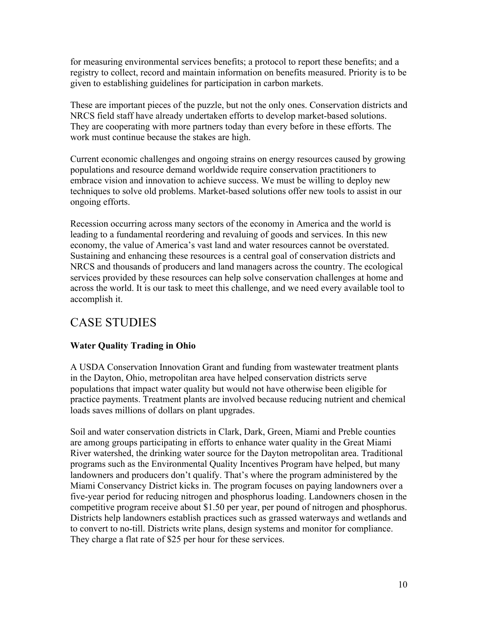for measuring environmental services benefits; a protocol to report these benefits; and a registry to collect, record and maintain information on benefits measured. Priority is to be given to establishing guidelines for participation in carbon markets.

These are important pieces of the puzzle, but not the only ones. Conservation districts and NRCS field staff have already undertaken efforts to develop market-based solutions. They are cooperating with more partners today than every before in these efforts. The work must continue because the stakes are high.

Current economic challenges and ongoing strains on energy resources caused by growing populations and resource demand worldwide require conservation practitioners to embrace vision and innovation to achieve success. We must be willing to deploy new techniques to solve old problems. Market-based solutions offer new tools to assist in our ongoing efforts.

Recession occurring across many sectors of the economy in America and the world is leading to a fundamental reordering and revaluing of goods and services. In this new economy, the value of America's vast land and water resources cannot be overstated. Sustaining and enhancing these resources is a central goal of conservation districts and NRCS and thousands of producers and land managers across the country. The ecological services provided by these resources can help solve conservation challenges at home and across the world. It is our task to meet this challenge, and we need every available tool to accomplish it.

# CASE STUDIES

### **Water Quality Trading in Ohio**

A USDA Conservation Innovation Grant and funding from wastewater treatment plants in the Dayton, Ohio, metropolitan area have helped conservation districts serve populations that impact water quality but would not have otherwise been eligible for practice payments. Treatment plants are involved because reducing nutrient and chemical loads saves millions of dollars on plant upgrades.

Soil and water conservation districts in Clark, Dark, Green, Miami and Preble counties are among groups participating in efforts to enhance water quality in the Great Miami River watershed, the drinking water source for the Dayton metropolitan area. Traditional programs such as the Environmental Quality Incentives Program have helped, but many landowners and producers don't qualify. That's where the program administered by the Miami Conservancy District kicks in. The program focuses on paying landowners over a five-year period for reducing nitrogen and phosphorus loading. Landowners chosen in the competitive program receive about \$1.50 per year, per pound of nitrogen and phosphorus. Districts help landowners establish practices such as grassed waterways and wetlands and to convert to no-till. Districts write plans, design systems and monitor for compliance. They charge a flat rate of \$25 per hour for these services.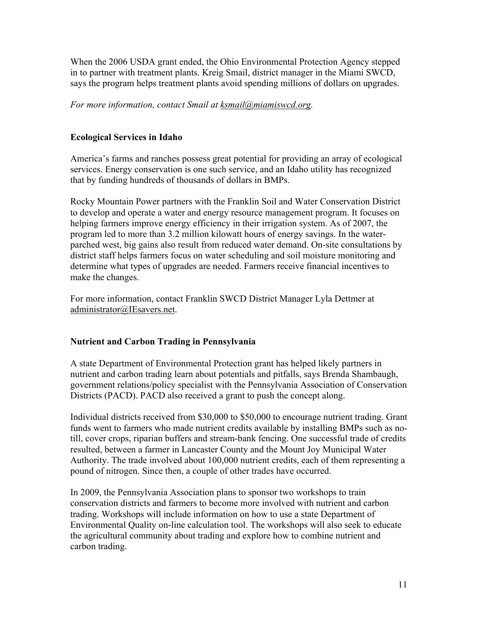When the 2006 USDA grant ended, the Ohio Environmental Protection Agency stepped in to partner with treatment plants. Kreig Smail, district manager in the Miami SWCD, says the program helps treatment plants avoid spending millions of dollars on upgrades.

### *For more information, contact Smail at ksmail@miamiswcd.org.*

### **Ecological Services in Idaho**

America's farms and ranches possess great potential for providing an array of ecological services. Energy conservation is one such service, and an Idaho utility has recognized that by funding hundreds of thousands of dollars in BMPs.

Rocky Mountain Power partners with the Franklin Soil and Water Conservation District to develop and operate a water and energy resource management program. It focuses on helping farmers improve energy efficiency in their irrigation system. As of 2007, the program led to more than 3.2 million kilowatt hours of energy savings. In the waterparched west, big gains also result from reduced water demand. On-site consultations by district staff helps farmers focus on water scheduling and soil moisture monitoring and determine what types of upgrades are needed. Farmers receive financial incentives to make the changes.

For more information, contact Franklin SWCD District Manager Lyla Dettmer at administrator@IEsavers.net.

### **Nutrient and Carbon Trading in Pennsylvania**

A state Department of Environmental Protection grant has helped likely partners in nutrient and carbon trading learn about potentials and pitfalls, says Brenda Shambaugh, government relations/policy specialist with the Pennsylvania Association of Conservation Districts (PACD). PACD also received a grant to push the concept along.

Individual districts received from \$30,000 to \$50,000 to encourage nutrient trading. Grant funds went to farmers who made nutrient credits available by installing BMPs such as notill, cover crops, riparian buffers and stream-bank fencing. One successful trade of credits resulted, between a farmer in Lancaster County and the Mount Joy Municipal Water Authority. The trade involved about 100,000 nutrient credits, each of them representing a pound of nitrogen. Since then, a couple of other trades have occurred.

In 2009, the Pennsylvania Association plans to sponsor two workshops to train conservation districts and farmers to become more involved with nutrient and carbon trading. Workshops will include information on how to use a state Department of Environmental Quality on-line calculation tool. The workshops will also seek to educate the agricultural community about trading and explore how to combine nutrient and carbon trading.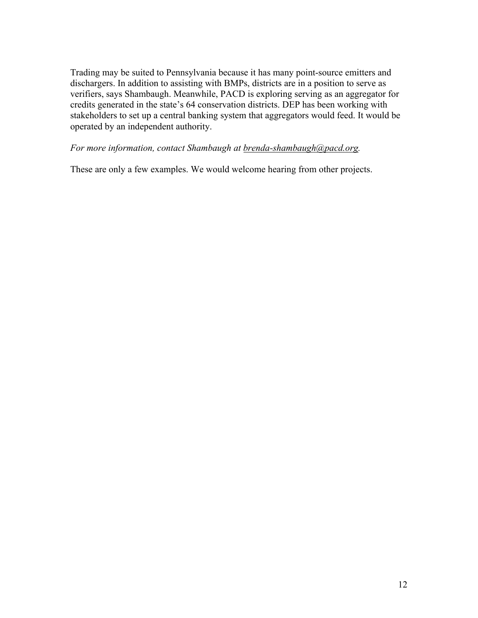Trading may be suited to Pennsylvania because it has many point-source emitters and dischargers. In addition to assisting with BMPs, districts are in a position to serve as verifiers, says Shambaugh. Meanwhile, PACD is exploring serving as an aggregator for credits generated in the state's 64 conservation districts. DEP has been working with stakeholders to set up a central banking system that aggregators would feed. It would be operated by an independent authority.

### *For more information, contact Shambaugh at brenda-shambaugh@pacd.org.*

These are only a few examples. We would welcome hearing from other projects.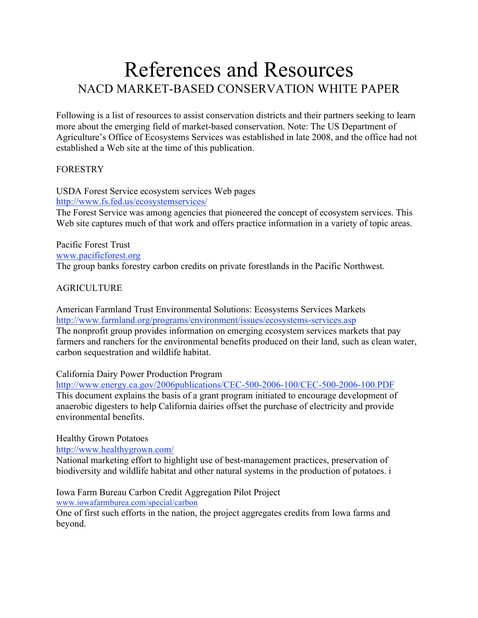# References and Resources NACD MARKET-BASED CONSERVATION WHITE PAPER

Following is a list of resources to assist conservation districts and their partners seeking to learn more about the emerging field of market-based conservation. Note: The US Department of Agriculture's Office of Ecosystems Services was established in late 2008, and the office had not established a Web site at the time of this publication.

### **FORESTRY**

USDA Forest Service ecosystem services Web pages http://www.fs.fed.us/ecosystemservices/ The Forest Service was among agencies that pioneered the concept of ecosystem services. This Web site captures much of that work and offers practice information in a variety of topic areas.

Pacific Forest Trust www.pacificforest.org The group banks forestry carbon credits on private forestlands in the Pacific Northwest.

### AGRICULTURE

American Farmland Trust Environmental Solutions: Ecosystems Services Markets http://www.farmland.org/programs/environment/issues/ecosystems-services.asp The nonprofit group provides information on emerging ecosystem services markets that pay farmers and ranchers for the environmental benefits produced on their land, such as clean water, carbon sequestration and wildlife habitat.

### California Dairy Power Production Program

http://www.energy.ca.gov/2006publications/CEC-500-2006-100/CEC-500-2006-100.PDF This document explains the basis of a grant program initiated to encourage development of anaerobic digesters to help California dairies offset the purchase of electricity and provide environmental benefits.

### Healthy Grown Potatoes

http://www.healthygrown.com/

National marketing effort to highlight use of best-management practices, preservation of biodiversity and wildlife habitat and other natural systems in the production of potatoes. i

Iowa Farm Bureau Carbon Credit Aggregation Pilot Project

www.iowafarmburea.com/special/carbon

One of first such efforts in the nation, the project aggregates credits from Iowa farms and beyond.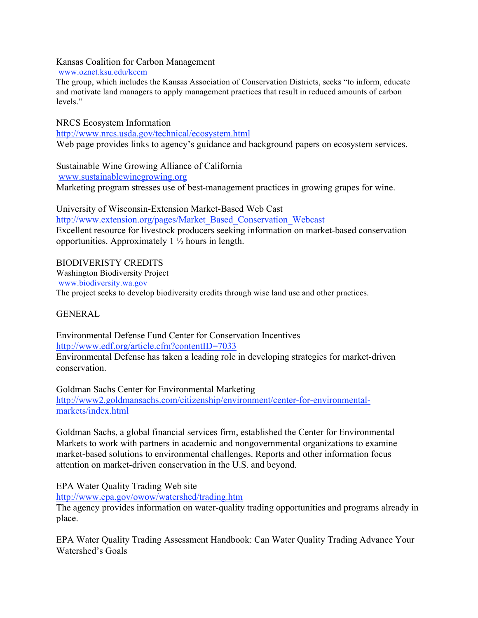#### Kansas Coalition for Carbon Management

www.oznet.ksu.edu/kccm

The group, which includes the Kansas Association of Conservation Districts, seeks "to inform, educate and motivate land managers to apply management practices that result in reduced amounts of carbon levels."

NRCS Ecosystem Information http://www.nrcs.usda.gov/technical/ecosystem.html Web page provides links to agency's guidance and background papers on ecosystem services.

Sustainable Wine Growing Alliance of California www.sustainablewinegrowing.org Marketing program stresses use of best-management practices in growing grapes for wine.

University of Wisconsin-Extension Market-Based Web Cast http://www.extension.org/pages/Market\_Based\_Conservation\_Webcast Excellent resource for livestock producers seeking information on market-based conservation opportunities. Approximately  $1\frac{1}{2}$  hours in length.

BIODIVERISTY CREDITS Washington Biodiversity Project www.biodiversity.wa.gov The project seeks to develop biodiversity credits through wise land use and other practices.

### GENERAL

Environmental Defense Fund Center for Conservation Incentives http://www.edf.org/article.cfm?contentID=7033 Environmental Defense has taken a leading role in developing strategies for market-driven conservation.

Goldman Sachs Center for Environmental Marketing http://www2.goldmansachs.com/citizenship/environment/center-for-environmentalmarkets/index.html

Goldman Sachs, a global financial services firm, established the Center for Environmental Markets to work with partners in academic and nongovernmental organizations to examine market-based solutions to environmental challenges. Reports and other information focus attention on market-driven conservation in the U.S. and beyond.

EPA Water Quality Trading Web site http://www.epa.gov/owow/watershed/trading.htm

The agency provides information on water-quality trading opportunities and programs already in place.

EPA Water Quality Trading Assessment Handbook: Can Water Quality Trading Advance Your Watershed's Goals